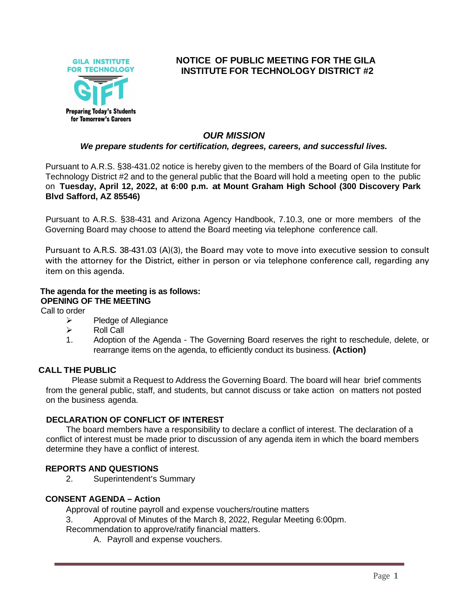

# **NOTICE OF PUBLIC MEETING FOR THE GILA INSTITUTE FOR TECHNOLOGY DISTRICT #2**

### *OUR MISSION*

### *We prepare students for certification, degrees, careers, and successful lives.*

Pursuant to A.R.S. §38-431.02 notice is hereby given to the members of the Board of Gila Institute for Technology District #2 and to the general public that the Board will hold a meeting open to the public on **Tuesday, April 12, 2022, at 6:00 p.m. at Mount Graham High School (300 Discovery Park Blvd Safford, AZ 85546)**

Pursuant to A.R.S. §38-431 and Arizona Agency Handbook, 7.10.3, one or more members of the Governing Board may choose to attend the Board meeting via telephone conference call.

Pursuant to A.R.S. 38-431.03 (A)(3), the Board may vote to move into executive session to consult with the attorney for the District, either in person or via telephone conference call, regarding any item on this agenda.

### **The agenda for the meeting is as follows:**

**OPENING OF THE MEETING**

Call to order

- ➢ Pledge of Allegiance
- ➢ Roll Call
- 1. Adoption of the Agenda The Governing Board reserves the right to reschedule, delete, or rearrange items on the agenda, to efficiently conduct its business. **(Action)**

#### **CALL THE PUBLIC**

Please submit a Request to Address the Governing Board. The board will hear brief comments from the general public, staff, and students, but cannot discuss or take action on matters not posted on the business agenda.

#### **DECLARATION OF CONFLICT OF INTEREST**

The board members have a responsibility to declare a conflict of interest. The declaration of a conflict of interest must be made prior to discussion of any agenda item in which the board members determine they have a conflict of interest.

#### **REPORTS AND QUESTIONS**

2. Superintendent's Summary

#### **CONSENT AGENDA – Action**

Approval of routine payroll and expense vouchers/routine matters

- 3. Approval of Minutes of the March 8, 2022, Regular Meeting 6:00pm.
- Recommendation to approve/ratify financial matters.
	- A. Payroll and expense vouchers.